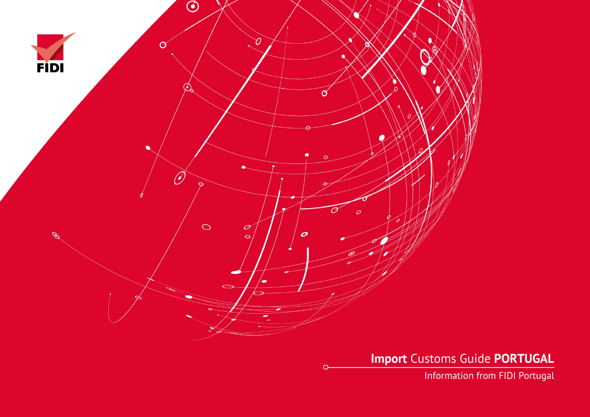

**Import** Customs Guide **PORTUGAL**

Information from FIDI Portugal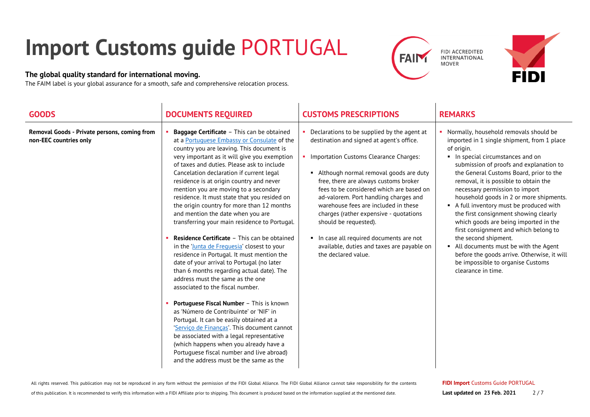## **Import Customs guide** PORTUGAL

## **The global quality standard for international moving.**

The FAIM label is your global assurance for a smooth, safe and comprehensive relocation process.





| <b>GOODS</b>                                                           | <b>DOCUMENTS REQUIRED</b>                                                                                                                                                                                                                                                                                                                                                                                                                                                                                                                                                                                                                                                                                                                                                                                                                                                                                                                                                                                                                                                                                                                                                                                                                         | <b>CUSTOMS PRESCRIPTIONS</b>                                                                                                                                                                                                                                                                                                                                                                                                                                                                                                             | <b>REMARKS</b>                                                                                                                                                                                                                                                                                                                                                                                                                                                                                                                                                                                                                                                                                        |
|------------------------------------------------------------------------|---------------------------------------------------------------------------------------------------------------------------------------------------------------------------------------------------------------------------------------------------------------------------------------------------------------------------------------------------------------------------------------------------------------------------------------------------------------------------------------------------------------------------------------------------------------------------------------------------------------------------------------------------------------------------------------------------------------------------------------------------------------------------------------------------------------------------------------------------------------------------------------------------------------------------------------------------------------------------------------------------------------------------------------------------------------------------------------------------------------------------------------------------------------------------------------------------------------------------------------------------|------------------------------------------------------------------------------------------------------------------------------------------------------------------------------------------------------------------------------------------------------------------------------------------------------------------------------------------------------------------------------------------------------------------------------------------------------------------------------------------------------------------------------------------|-------------------------------------------------------------------------------------------------------------------------------------------------------------------------------------------------------------------------------------------------------------------------------------------------------------------------------------------------------------------------------------------------------------------------------------------------------------------------------------------------------------------------------------------------------------------------------------------------------------------------------------------------------------------------------------------------------|
| Removal Goods - Private persons, coming from<br>non-EEC countries only | Baggage Certificate - This can be obtained<br>at a Portuguese Embassy or Consulate of the<br>country you are leaving. This document is<br>very important as it will give you exemption<br>of taxes and duties. Please ask to include<br>Cancelation declaration if current legal<br>residence is at origin country and never<br>mention you are moving to a secondary<br>residence. It must state that you resided on<br>the origin country for more than 12 months<br>and mention the date when you are<br>transferring your main residence to Portugal.<br><b>Residence Certificate - This can be obtained</b><br>in the 'lunta de Freguesia' closest to your<br>residence in Portugal. It must mention the<br>date of your arrival to Portugal (no later<br>than 6 months regarding actual date). The<br>address must the same as the one<br>associated to the fiscal number.<br>Portuguese Fiscal Number - This is known<br>as 'Número de Contribuinte' or 'NIF' in<br>Portugal. It can be easily obtained at a<br>'Servico de Financas'. This document cannot<br>be associated with a legal representative<br>(which happens when you already have a<br>Portuguese fiscal number and live abroad)<br>and the address must be the same as the | Declarations to be supplied by the agent at<br>destination and signed at agent's office.<br>• Importation Customs Clearance Charges:<br>• Although normal removal goods are duty<br>free, there are always customs broker<br>fees to be considered which are based on<br>ad-valorem. Port handling charges and<br>warehouse fees are included in these<br>charges (rather expensive - quotations<br>should be requested).<br>In case all required documents are not<br>available, duties and taxes are payable on<br>the declared value. | • Normally, household removals should be<br>imported in 1 single shipment, from 1 place<br>of origin.<br>In special circumstances and on<br>submission of proofs and explanation to<br>the General Customs Board, prior to the<br>removal, it is possible to obtain the<br>necessary permission to import<br>household goods in 2 or more shipments.<br>A full inventory must be produced with<br>the first consignment showing clearly<br>which goods are being imported in the<br>first consignment and which belong to<br>the second shipment.<br>• All documents must be with the Agent<br>before the goods arrive. Otherwise, it will<br>be impossible to organise Customs<br>clearance in time. |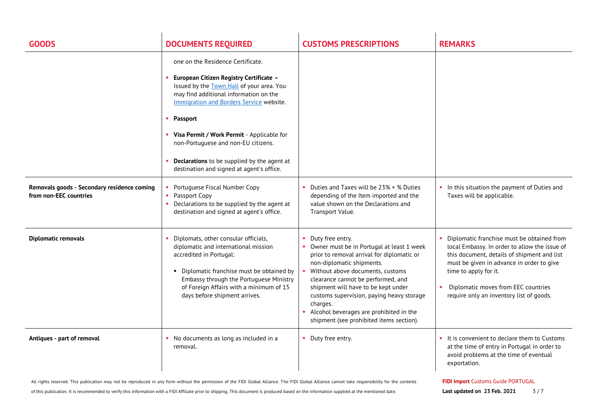| <b>GOODS</b>                                                          | <b>DOCUMENTS REQUIRED</b>                                                                                                                                                                                                                                                                                                                                                                                        | <b>CUSTOMS PRESCRIPTIONS</b>                                                                                                                                                                                                                                                                                                                                                                              | <b>REMARKS</b>                                                                                                                                                                                                                                                                                           |
|-----------------------------------------------------------------------|------------------------------------------------------------------------------------------------------------------------------------------------------------------------------------------------------------------------------------------------------------------------------------------------------------------------------------------------------------------------------------------------------------------|-----------------------------------------------------------------------------------------------------------------------------------------------------------------------------------------------------------------------------------------------------------------------------------------------------------------------------------------------------------------------------------------------------------|----------------------------------------------------------------------------------------------------------------------------------------------------------------------------------------------------------------------------------------------------------------------------------------------------------|
|                                                                       | one on the Residence Certificate.<br>European Citizen Registry Certificate -<br>Issued by the Town Hall of your area. You<br>may find additional information on the<br>Immigration and Borders Service website.<br>• Passport<br>• Visa Permit / Work Permit - Applicable for<br>non-Portuguese and non-EU citizens.<br>Declarations to be supplied by the agent at<br>destination and signed at agent's office. |                                                                                                                                                                                                                                                                                                                                                                                                           |                                                                                                                                                                                                                                                                                                          |
| Removals goods - Secondary residence coming<br>from non-EEC countries | • Portuguese Fiscal Number Copy<br>• Passport Copy<br>• Declarations to be supplied by the agent at<br>destination and signed at agent's office.                                                                                                                                                                                                                                                                 | Duties and Taxes will be 23% + % Duties<br>depending of the Item imported and the<br>value shown on the Declarations and<br>Transport Value.                                                                                                                                                                                                                                                              | • In this situation the payment of Duties and<br>Taxes will be applicable.                                                                                                                                                                                                                               |
| <b>Diplomatic removals</b>                                            | • Diplomats, other consular officials,<br>diplomatic and international mission<br>accredited in Portugal:<br>• Diplomatic franchise must be obtained by<br>Embassy through the Portuguese Ministry<br>of Foreign Affairs with a minimum of 15<br>days before shipment arrives.                                                                                                                                   | Duty free entry.<br>Owner must be in Portugal at least 1 week<br>prior to removal arrival for diplomatic or<br>non-diplomatic shipments.<br>Without above documents, customs<br>clearance cannot be performed, and<br>shipment will have to be kept under<br>customs supervision, paying heavy storage<br>charges.<br>Alcohol beverages are prohibited in the<br>shipment (see prohibited items section). | Diplomatic franchise must be obtained from<br>local Embassy. In order to allow the issue of<br>this document, details of shipment and list<br>must be given in advance in order to give<br>time to apply for it.<br>Diplomatic moves from EEC countries<br>×<br>require only an inventory list of goods. |
| Antiques - part of removal                                            | • No documents as long as included in a<br>removal.                                                                                                                                                                                                                                                                                                                                                              | Duty free entry.                                                                                                                                                                                                                                                                                                                                                                                          | • It is convenient to declare them to Customs<br>at the time of entry in Portugal in order to<br>avoid problems at the time of eventual<br>exportation.                                                                                                                                                  |

All rights reserved. This publication may not be reproduced in any form without the permission of the FIDI Global Alliance. The FIDI Global Alliance cannot take responsibility for the contents

of this publication. It is recommended to verify this information with a FIDI Affiliate prior to shipping. This document is produced based on the information supplied at the mentioned date.

**FIDI Import** Customs Guide PORTUGAL

**Last updated on 23 Feb. 2021** 3/7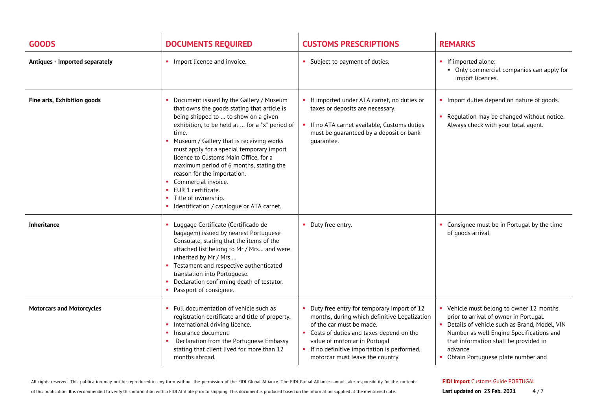| <b>GOODS</b>                     | <b>DOCUMENTS REQUIRED</b>                                                                                                                                                                                                                                                                                                                                                                                                                                                                                              | <b>CUSTOMS PRESCRIPTIONS</b>                                                                                                                                                                                                                                                         | <b>REMARKS</b>                                                                                                                                                                                                                                                                             |
|----------------------------------|------------------------------------------------------------------------------------------------------------------------------------------------------------------------------------------------------------------------------------------------------------------------------------------------------------------------------------------------------------------------------------------------------------------------------------------------------------------------------------------------------------------------|--------------------------------------------------------------------------------------------------------------------------------------------------------------------------------------------------------------------------------------------------------------------------------------|--------------------------------------------------------------------------------------------------------------------------------------------------------------------------------------------------------------------------------------------------------------------------------------------|
| Antiques - Imported separately   | • Import licence and invoice.                                                                                                                                                                                                                                                                                                                                                                                                                                                                                          | Subject to payment of duties.                                                                                                                                                                                                                                                        | • If imported alone:<br>Only commercial companies can apply for<br>import licences.                                                                                                                                                                                                        |
| Fine arts, Exhibition goods      | Document issued by the Gallery / Museum<br>that owns the goods stating that article is<br>being shipped to  to show on a given<br>exhibition, to be held at  for a "x" period of<br>time.<br>Museum / Gallery that is receiving works<br>must apply for a special temporary import<br>licence to Customs Main Office, for a<br>maximum period of 6 months, stating the<br>reason for the importation.<br>Commercial invoice.<br>EUR 1 certificate.<br>Title of ownership.<br>Identification / catalogue or ATA carnet. | If imported under ATA carnet, no duties or<br>taxes or deposits are necessary.<br>If no ATA carnet available, Customs duties<br>must be guaranteed by a deposit or bank<br>quarantee.                                                                                                | Import duties depend on nature of goods.<br>• Regulation may be changed without notice.<br>Always check with your local agent.                                                                                                                                                             |
| <b>Inheritance</b>               | Luggage Certificate (Certificado de<br>bagagem) issued by nearest Portuguese<br>Consulate, stating that the items of the<br>attached list belong to Mr / Mrs and were<br>inherited by Mr / Mrs<br>Testament and respective authenticated<br>translation into Portuguese.<br>Declaration confirming death of testator.<br>Passport of consignee.                                                                                                                                                                        | • Duty free entry.                                                                                                                                                                                                                                                                   | • Consignee must be in Portugal by the time<br>of goods arrival.                                                                                                                                                                                                                           |
| <b>Motorcars and Motorcycles</b> | Full documentation of vehicle such as<br>registration certificate and title of property.<br>International driving licence.<br>Insurance document.<br>Declaration from the Portuguese Embassy<br>stating that client lived for more than 12<br>months abroad.                                                                                                                                                                                                                                                           | Duty free entry for temporary import of 12<br>months, during which definitive Legalization<br>of the car must be made.<br>Costs of duties and taxes depend on the<br>value of motorcar in Portugal<br>If no definitive importation is performed,<br>motorcar must leave the country. | • Vehicle must belong to owner 12 months<br>prior to arrival of owner in Portugal.<br>Details of vehicle such as Brand, Model, VIN<br>$\mathbf{u}$<br>Number as well Engine Specifications and<br>that information shall be provided in<br>advance<br>• Obtain Portuguese plate number and |

All rights reserved. This publication may not be reproduced in any form without the permission of the FIDI Global Alliance. The FIDI Global Alliance cannot take responsibility for the contents

of this publication. It is recommended to verify this information with a FIDI Affiliate prior to shipping. This document is produced based on the information supplied at the mentioned date.

## **FIDI Import** Customs Guide PORTUGAL

**Last updated on 23 Feb. 2021** 4/7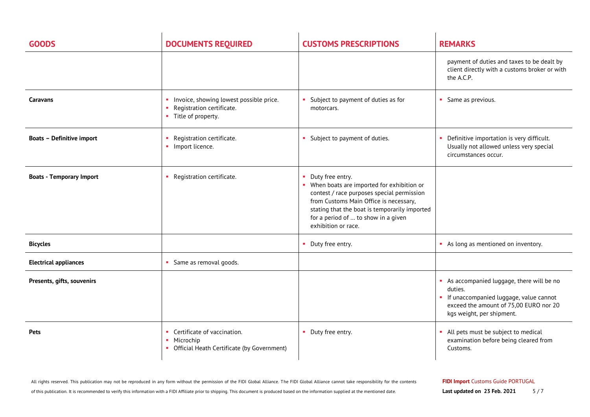| <b>GOODS</b>                     | <b>DOCUMENTS REQUIRED</b>                                                                                | <b>CUSTOMS PRESCRIPTIONS</b>                                                                                                                                                                                                                                           | <b>REMARKS</b>                                                                                                                                                         |
|----------------------------------|----------------------------------------------------------------------------------------------------------|------------------------------------------------------------------------------------------------------------------------------------------------------------------------------------------------------------------------------------------------------------------------|------------------------------------------------------------------------------------------------------------------------------------------------------------------------|
|                                  |                                                                                                          |                                                                                                                                                                                                                                                                        | payment of duties and taxes to be dealt by<br>client directly with a customs broker or with<br>the A.C.P.                                                              |
| <b>Caravans</b>                  | Invoice, showing lowest possible price.<br>Registration certificate.<br>Title of property.<br>×.         | Subject to payment of duties as for<br>motorcars.                                                                                                                                                                                                                      | • Same as previous.                                                                                                                                                    |
| <b>Boats - Definitive import</b> | Registration certificate.<br>• Import licence.                                                           | Subject to payment of duties.                                                                                                                                                                                                                                          | Definitive importation is very difficult.<br>Usually not allowed unless very special<br>circumstances occur.                                                           |
| <b>Boats - Temporary Import</b>  | Registration certificate.                                                                                | Duty free entry.<br>• When boats are imported for exhibition or<br>contest / race purposes special permission<br>from Customs Main Office is necessary,<br>stating that the boat is temporarily imported<br>for a period of  to show in a given<br>exhibition or race. |                                                                                                                                                                        |
| <b>Bicycles</b>                  |                                                                                                          | Duty free entry.                                                                                                                                                                                                                                                       | As long as mentioned on inventory.                                                                                                                                     |
| <b>Electrical appliances</b>     | Same as removal goods.                                                                                   |                                                                                                                                                                                                                                                                        |                                                                                                                                                                        |
| Presents, gifts, souvenirs       |                                                                                                          |                                                                                                                                                                                                                                                                        | As accompanied luggage, there will be no<br>duties.<br>• If unaccompanied luggage, value cannot<br>exceed the amount of 75,00 EURO nor 20<br>kgs weight, per shipment. |
| <b>Pets</b>                      | Certificate of vaccination.<br>Microchip<br>$\mathbf{H}$ .<br>Official Heath Certificate (by Government) | Duty free entry.                                                                                                                                                                                                                                                       | All pets must be subject to medical<br>examination before being cleared from<br>Customs.                                                                               |

All rights reserved. This publication may not be reproduced in any form without the permission of the FIDI Global Alliance. The FIDI Global Alliance cannot take responsibility for the contents

**FIDI Import** Customs Guide PORTUGAL

**Last updated on 23 Feb. 2021** 5/7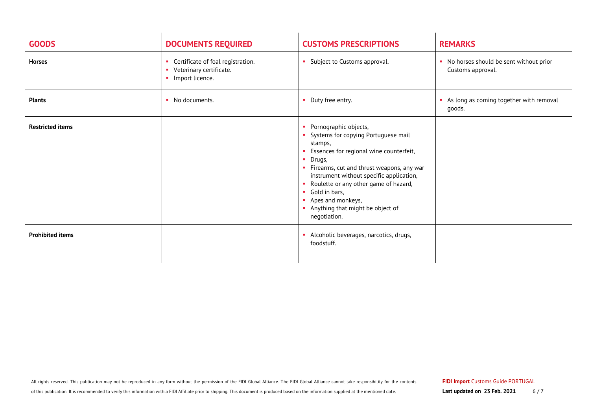| <b>GOODS</b>            | <b>DOCUMENTS REQUIRED</b>                                                                           | <b>CUSTOMS PRESCRIPTIONS</b>                                                                                                                                                                                                                                                                                                                             | <b>REMARKS</b>                                                |
|-------------------------|-----------------------------------------------------------------------------------------------------|----------------------------------------------------------------------------------------------------------------------------------------------------------------------------------------------------------------------------------------------------------------------------------------------------------------------------------------------------------|---------------------------------------------------------------|
| <b>Horses</b>           | Certificate of foal registration.<br><b>COL</b><br>Veterinary certificate.<br>Import licence.<br>a. | Subject to Customs approval.                                                                                                                                                                                                                                                                                                                             | • No horses should be sent without prior<br>Customs approval. |
| <b>Plants</b>           | No documents.<br><b>COL</b>                                                                         | Duty free entry.                                                                                                                                                                                                                                                                                                                                         | As long as coming together with removal<br>a.<br>goods.       |
| <b>Restricted items</b> |                                                                                                     | Pornographic objects,<br>Systems for copying Portuguese mail<br>stamps,<br>Essences for regional wine counterfeit,<br>Drugs,<br>Firearms, cut and thrust weapons, any war<br>instrument without specific application,<br>Roulette or any other game of hazard,<br>Gold in bars,<br>Apes and monkeys,<br>Anything that might be object of<br>negotiation. |                                                               |
| <b>Prohibited items</b> |                                                                                                     | Alcoholic beverages, narcotics, drugs,<br>foodstuff.                                                                                                                                                                                                                                                                                                     |                                                               |